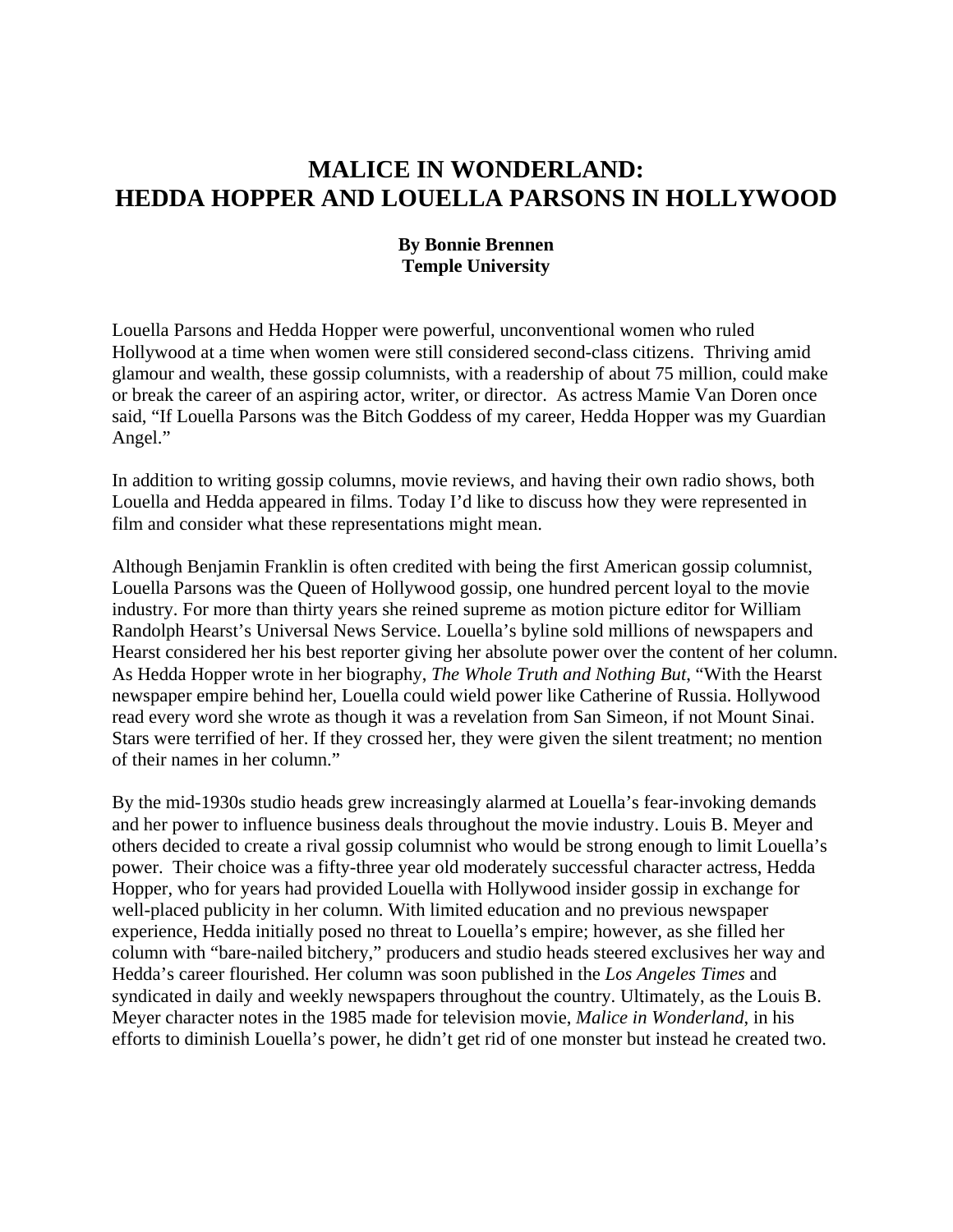## **MALICE IN WONDERLAND: HEDDA HOPPER AND LOUELLA PARSONS IN HOLLYWOOD**

## **By Bonnie Brennen Temple University**

Louella Parsons and Hedda Hopper were powerful, unconventional women who ruled Hollywood at a time when women were still considered second-class citizens. Thriving amid glamour and wealth, these gossip columnists, with a readership of about 75 million, could make or break the career of an aspiring actor, writer, or director. As actress Mamie Van Doren once said, "If Louella Parsons was the Bitch Goddess of my career, Hedda Hopper was my Guardian Angel."

In addition to writing gossip columns, movie reviews, and having their own radio shows, both Louella and Hedda appeared in films. Today I'd like to discuss how they were represented in film and consider what these representations might mean.

Although Benjamin Franklin is often credited with being the first American gossip columnist, Louella Parsons was the Queen of Hollywood gossip, one hundred percent loyal to the movie industry. For more than thirty years she reined supreme as motion picture editor for William Randolph Hearst's Universal News Service. Louella's byline sold millions of newspapers and Hearst considered her his best reporter giving her absolute power over the content of her column. As Hedda Hopper wrote in her biography, *The Whole Truth and Nothing But*, "With the Hearst newspaper empire behind her, Louella could wield power like Catherine of Russia. Hollywood read every word she wrote as though it was a revelation from San Simeon, if not Mount Sinai. Stars were terrified of her. If they crossed her, they were given the silent treatment; no mention of their names in her column."

By the mid-1930s studio heads grew increasingly alarmed at Louella's fear-invoking demands and her power to influence business deals throughout the movie industry. Louis B. Meyer and others decided to create a rival gossip columnist who would be strong enough to limit Louella's power. Their choice was a fifty-three year old moderately successful character actress, Hedda Hopper, who for years had provided Louella with Hollywood insider gossip in exchange for well-placed publicity in her column. With limited education and no previous newspaper experience, Hedda initially posed no threat to Louella's empire; however, as she filled her column with "bare-nailed bitchery," producers and studio heads steered exclusives her way and Hedda's career flourished. Her column was soon published in the *Los Angeles Times* and syndicated in daily and weekly newspapers throughout the country. Ultimately, as the Louis B. Meyer character notes in the 1985 made for television movie, *Malice in Wonderland*, in his efforts to diminish Louella's power, he didn't get rid of one monster but instead he created two.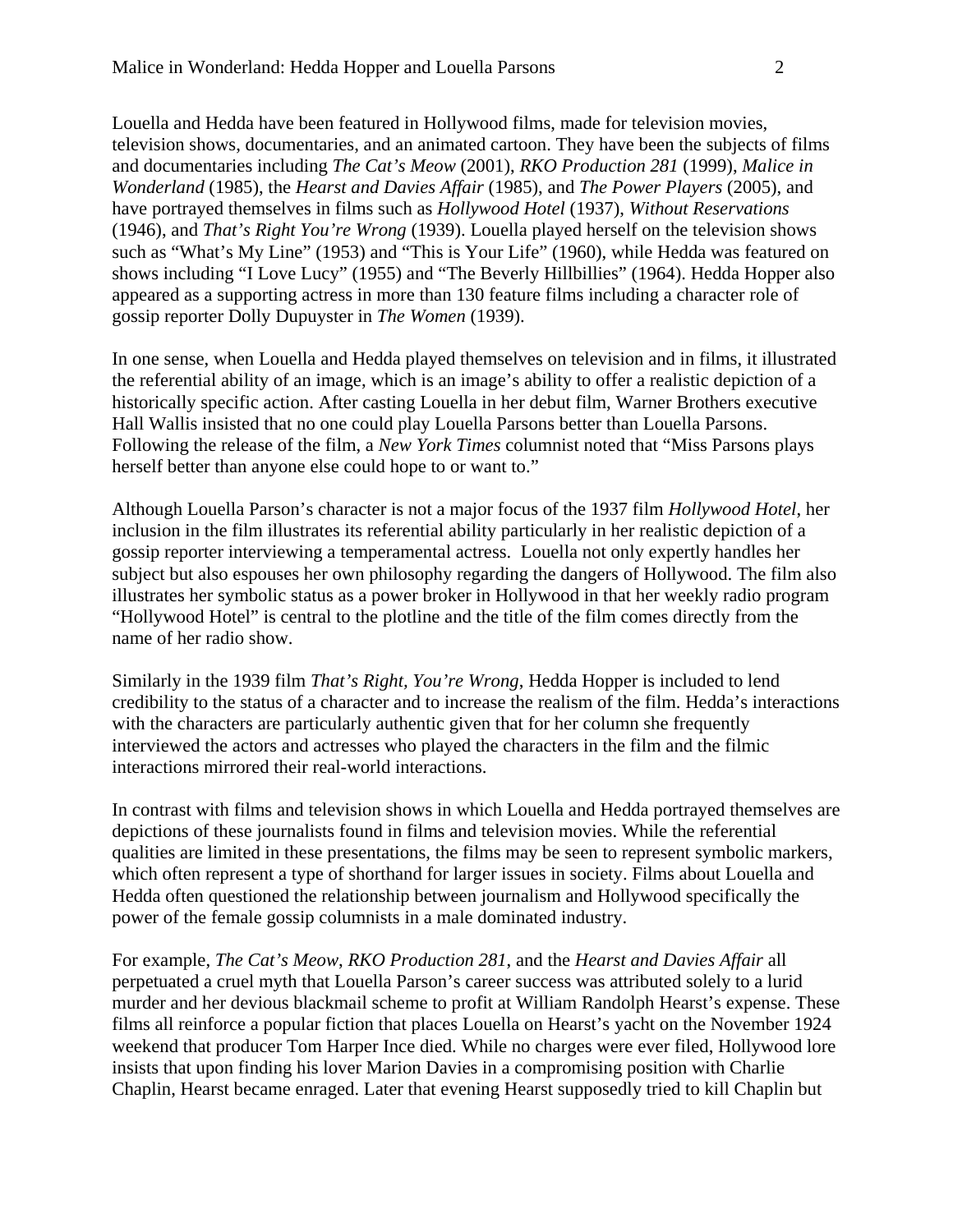Louella and Hedda have been featured in Hollywood films, made for television movies, television shows, documentaries, and an animated cartoon. They have been the subjects of films and documentaries including *The Cat's Meow* (2001), *RKO Production 281* (1999), *Malice in Wonderland* (1985), the *Hearst and Davies Affair* (1985), and *The Power Players* (2005), and have portrayed themselves in films such as *Hollywood Hotel* (1937), *Without Reservations* (1946), and *That's Right You're Wrong* (1939). Louella played herself on the television shows such as "What's My Line" (1953) and "This is Your Life" (1960), while Hedda was featured on shows including "I Love Lucy" (1955) and "The Beverly Hillbillies" (1964). Hedda Hopper also appeared as a supporting actress in more than 130 feature films including a character role of gossip reporter Dolly Dupuyster in *The Women* (1939).

In one sense, when Louella and Hedda played themselves on television and in films, it illustrated the referential ability of an image, which is an image's ability to offer a realistic depiction of a historically specific action. After casting Louella in her debut film, Warner Brothers executive Hall Wallis insisted that no one could play Louella Parsons better than Louella Parsons. Following the release of the film, a *New York Times* columnist noted that "Miss Parsons plays herself better than anyone else could hope to or want to."

Although Louella Parson's character is not a major focus of the 1937 film *Hollywood Hotel*, her inclusion in the film illustrates its referential ability particularly in her realistic depiction of a gossip reporter interviewing a temperamental actress. Louella not only expertly handles her subject but also espouses her own philosophy regarding the dangers of Hollywood. The film also illustrates her symbolic status as a power broker in Hollywood in that her weekly radio program "Hollywood Hotel" is central to the plotline and the title of the film comes directly from the name of her radio show.

Similarly in the 1939 film *That's Right, You're Wrong*, Hedda Hopper is included to lend credibility to the status of a character and to increase the realism of the film. Hedda's interactions with the characters are particularly authentic given that for her column she frequently interviewed the actors and actresses who played the characters in the film and the filmic interactions mirrored their real-world interactions.

In contrast with films and television shows in which Louella and Hedda portrayed themselves are depictions of these journalists found in films and television movies. While the referential qualities are limited in these presentations, the films may be seen to represent symbolic markers, which often represent a type of shorthand for larger issues in society. Films about Louella and Hedda often questioned the relationship between journalism and Hollywood specifically the power of the female gossip columnists in a male dominated industry.

For example, *The Cat's Meow*, *RKO Production 281*, and the *Hearst and Davies Affair* all perpetuated a cruel myth that Louella Parson's career success was attributed solely to a lurid murder and her devious blackmail scheme to profit at William Randolph Hearst's expense. These films all reinforce a popular fiction that places Louella on Hearst's yacht on the November 1924 weekend that producer Tom Harper Ince died. While no charges were ever filed, Hollywood lore insists that upon finding his lover Marion Davies in a compromising position with Charlie Chaplin, Hearst became enraged. Later that evening Hearst supposedly tried to kill Chaplin but